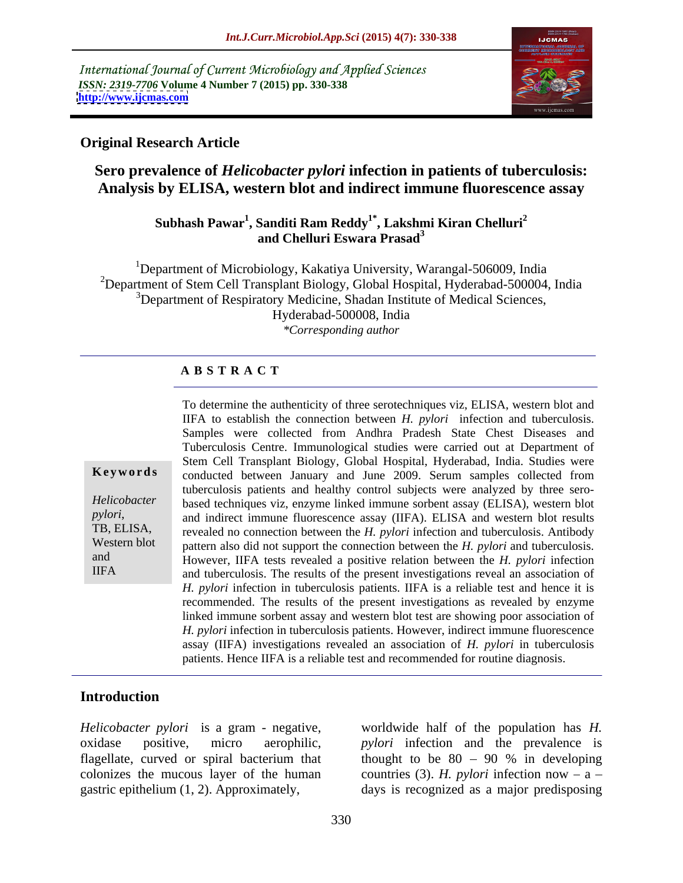International Journal of Current Microbiology and Applied Sciences *ISSN: 2319-7706* **Volume 4 Number 7 (2015) pp. 330-338 <http://www.ijcmas.com>**



### **Original Research Article**

# **Sero prevalence of** *Helicobacter pylori* **infection in patients of tuberculosis: Analysis by ELISA, western blot and indirect immune fluorescence assay**

### **Subhash Pawar<sup>1</sup> , Sanditi Ram Reddy1\* , Lakshmi Kiran Chelluri2 and Chelluri Eswara Prasad<sup>3</sup>**

<sup>1</sup>Department of Microbiology, Kakatiya University, Warangal-506009, India <sup>2</sup>Department of Stem Cell Transplant Biology, Global Hospital, Hyderabad-500004, India <sup>3</sup>Department of Respiratory Medicine, Shadan Institute of Medical Sciences, Hyderabad-500008, India *\*Corresponding author*

#### **A B S T R A C T**

IIFA

To determine the authenticity of three serotechniques viz, ELISA, western blot and IIFA to establish the connection between *H. pylori* infection and tuberculosis. Samples were collected from Andhra Pradesh State Chest Diseases and Tuberculosis Centre. Immunological studies were carried out at Department of Stem Cell Transplant Biology, Global Hospital, Hyderabad, India. Studies were **Keywords** conducted between January and June 2009. Serum samples collected from tuberculosis patients and healthy control subjects were analyzed by three sero based techniques viz, enzyme linked immune sorbent assay (ELISA), western blot *Helicobacter*  pylori, and indirect immune fluorescence assay (IIFA). ELISA and western blot results<br>TB, ELISA, revealed no connection between the *H. pylori* infection and tuberculosis. Antibody revealed no connection between the *H. pylori* infection and tuberculosis. Antibody Western blot pattern also did not support the connection between the *H. pylori* and tuberculosis. and **However**, IIFA tests revealed a positive relation between the *H. pylori* infection and tuberculosis. The results of the present investigations reveal an association of *H. pylori* infection in tuberculosis patients. IIFA is a reliable test and hence it is recommended. The results of the present investigations as revealed by enzyme linked immune sorbent assay and western blot test are showing poor association of *H. pylori* infection in tuberculosis patients. However, indirect immune fluorescence assay (IIFA) investigations revealed an association of *H. pylori* in tuberculosis patients. Hence IIFA is a reliable test and recommended for routine diagnosis.

# **Introduction**

*Helicobacter pylori* is a gram - negative, worldwide half of the population has *H.*  oxidase positive, micro aerophilic, *pylori* infection and the prevalence is flagellate, curved or spiral bacterium that thought to be  $80 - 90$  % in developing colonizes the mucous layer of the human countries (3). *H. pylori* infection now  $- a$ gastric epithelium (1, 2). Approximately, days is recognized as a major predisposing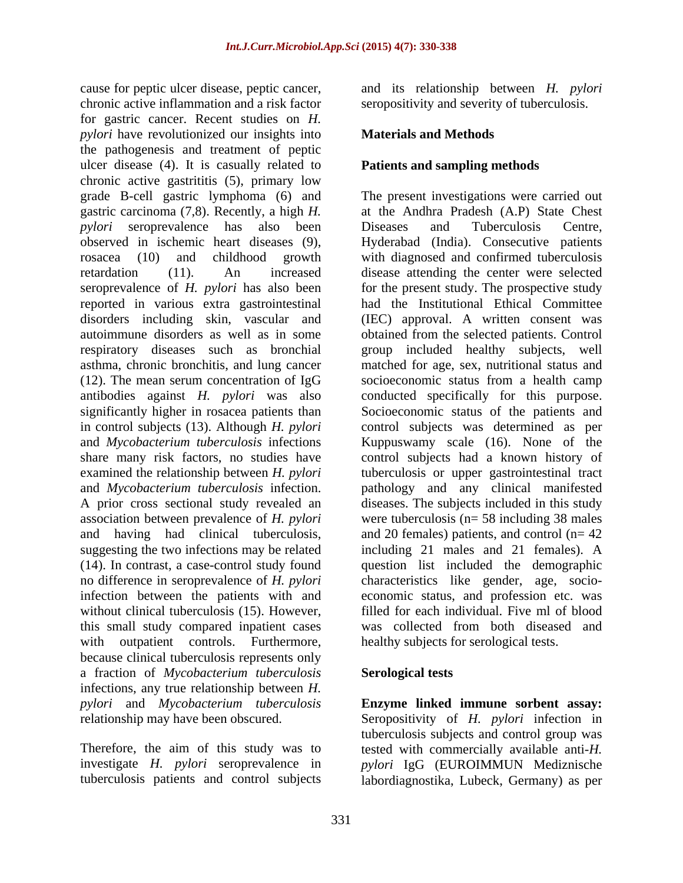cause for peptic ulcer disease, peptic cancer, and its relationship between *H. pylori* chronic active inflammation and a risk factor for gastric cancer. Recent studies on *H. pylori* have revolutionized our insights into the pathogenesis and treatment of peptic ulcer disease (4). It is casually related to chronic active gastrititis (5), primary low grade B-cell gastric lymphoma (6) and The present investigations were carried out gastric carcinoma (7,8). Recently, a high *H. pylori* seroprevalence has also been **Diseases** and Tuberculosis Centre, observed in ischemic heart diseases (9), <br>
rosacea (10) and childhood growth with diagnosed and confirmed tuberculosis retardation (11). An increased disease attending the center were selected seroprevalence of *H. pylori* has also been reported in various extra gastrointestinal disorders including skin, vascular and (IEC) approval. A written consent was autoimmune disorders as well as in some obtained from the selected patients. Control respiratory diseases such as bronchial group included healthy subjects, well asthma, chronic bronchitis, and lung cancer (12). The mean serum concentration of IgG antibodies against *H. pylori* was also conducted specifically for this purpose. significantly higher in rosacea patients than Socioeconomic status of the patients and in control subjects (13). Although *H. pylori* and *Mycobacterium tuberculosis* infections Kuppuswamy scale (16). None of the share many risk factors, no studies have control subjects had a known history of examined the relationship between *H. pylori* tuberculosis or upper gastrointestinal tract and *Mycobacterium tuberculosis* infection. pathology and any clinical manifested A prior cross sectional study revealed an diseases. The subjects included in this study association between prevalence of *H. pylori* and having had clinical tuberculosis, and 20 females) patients, and control (n= 42 suggesting the two infections may be related (14). In contrast, a case-control study found question list included the demographic no difference in seroprevalence of *H. pylori* characteristics like gender, age, socio infection between the patients with and economic status, and profession etc. was without clinical tuberculosis (15). However, this small study compared inpatient cases was collected from both diseased and with outpatient controls. Furthermore, because clinical tuberculosis represents only a fraction of *Mycobacterium tuberculosis* infections, any true relationship between *H. pylori* and *Mycobacterium tuberculosis* **Enzyme linked immune sorbent assay:**

Therefore, the aim of this study was to

seropositivity and severity of tuberculosis.

### **Materials and Methods**

### **Patients and sampling methods**

at the Andhra Pradesh (A.P) State Chest Diseases and Tuberculosis Centre, Hyderabad (India). Consecutive patients with diagnosed and confirmed tuberculosis for the present study. The prospective study had the Institutional Ethical Committee matched for age, sex, nutritional status and socioeconomic status from a health camp control subjects was determined as per were tuberculosis ( $n= 58$  including 38 males including 21 males and 21 females). A filled for each individual. Five ml of blood healthy subjects for serological tests.

#### **Serological tests**

relationship may have been obscured. Seropositivity of *H. pylori* infection in investigate *H. pylori* seroprevalence in *pylori* IgG (EUROIMMUN Mediznische tuberculosis patients and control subjects labordiagnostika, Lubeck, Germany) as pertuberculosis subjects and control group was tested with commercially available anti-*H.*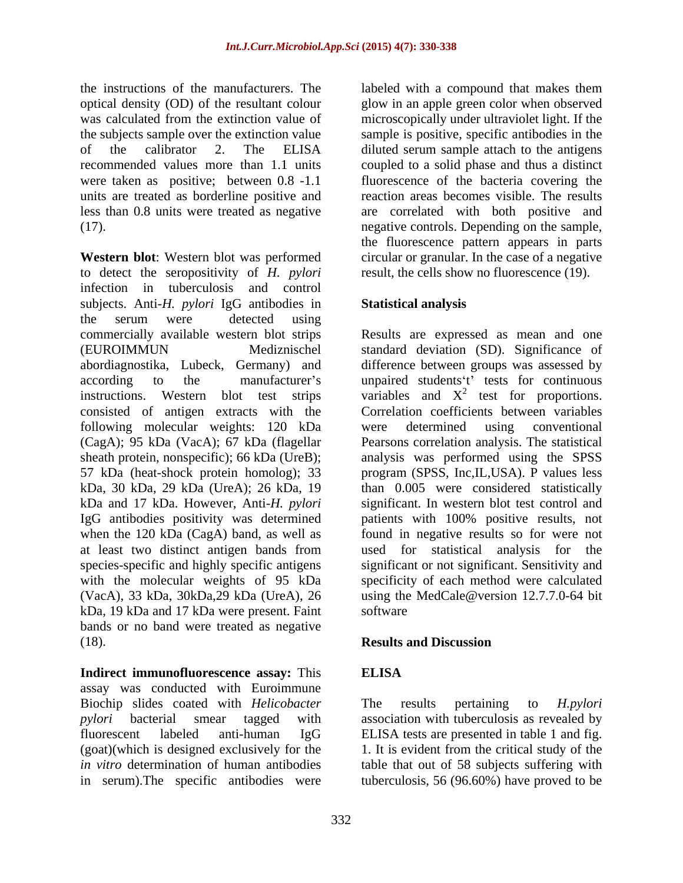the instructions of the manufacturers. The labeled with a compound that makes them optical density (OD) of the resultant colour glow in an apple green color when observed was calculated from the extinction value of microscopically under ultraviolet light. If the the subjects sample over the extinction value sample is positive, specific antibodies in the of the calibrator 2. The ELISA diluted serum sample attach to the antigens recommended values more than 1.1 units coupled to a solid phase and thus a distinct were taken as positive; between 0.8 -1.1 units are treated as borderline positive and less than 0.8 units were treated as negative are correlated with both positive and (17). negative controls. Depending on the sample,

**Western blot**: Western blot was performed circular or granular. In the case of a negative to detect the seropositivity of *H. pylori* infection in tuberculosis and control subjects. Anti-*H. pylori* IgG antibodies in the serum were detected using commercially available western blot strips Results are expressed as mean and one (EUROIMMUN Mediznischel standard deviation (SD). Significance of abordiagnostika, Lubeck, Germany) and difference between groups was assessed by according to the manufacturer's unpaired students t' tests for continuous instructions. Western blot test strips variables and  $X^2$  test for proportions. consisted of antigen extracts with the Correlation coefficients between variables following molecular weights: 120 kDa were determined using conventional (CagA); 95 kDa (VacA); 67 kDa (flagellar Pearsons correlation analysis. The statistical sheath protein, nonspecific); 66 kDa (UreB); analysis was performed using the SPSS 57 kDa (heat-shock protein homolog); 33 program (SPSS, Inc,IL,USA). P values less kDa, 30 kDa, 29 kDa (UreA); 26 kDa, 19 kDa and 17 kDa. However, Anti-*H. pylori* significant. In western blot test control and IgG antibodies positivity was determined when the 120 kDa (CagA) band, as well as found in negative results so for were not at least two distinct antigen bands from species-specific and highly specific antigens significant or not significant. Sensitivity and with the molecular weights of 95 kDa (VacA), 33 kDa, 30kDa,29 kDa (UreA), 26 using the MedCale@version 12.7.7.0-64 bit kDa, 19 kDa and 17 kDa were present. Faint bands or no band were treated as negative (18). **Results and Discussion** 

**Indirect immunofluorescence assay:** This assay was conducted with Euroimmune Biochip slides coated with *Helicobacter* The results pertaining to *H.pylori pylori* bacterial smear tagged with association with tuberculosis as revealed by fluorescent labeled anti-human IgG ELISA tests are presented in table 1 and fig. (goat)(which is designed exclusively for the 1. It is evident from the critical study of the *in vitro* determination of human antibodies table that out of 58 subjects suffering with

fluorescence of the bacteria covering the reaction areas becomes visible. The results the fluorescence pattern appears in parts result, the cells show no fluorescence (19).

# **Statistical analysis**

were determined using conventional than 0.005 were considered statistically patients with 100% positive results, not used for statistical analysis for specificity of each method were calculated software solution of the set of the set of the set of the set of the set of the set of the set of the set of the set of the set of the set of the set of the set of the set of the set of the set of the set of the set of the

#### **Results and Discussion**

# **ELISA**

in serum). The specific antibodies were tuberculosis, 56 (96.60%) have proved to be The results pertaining to *H.pylori*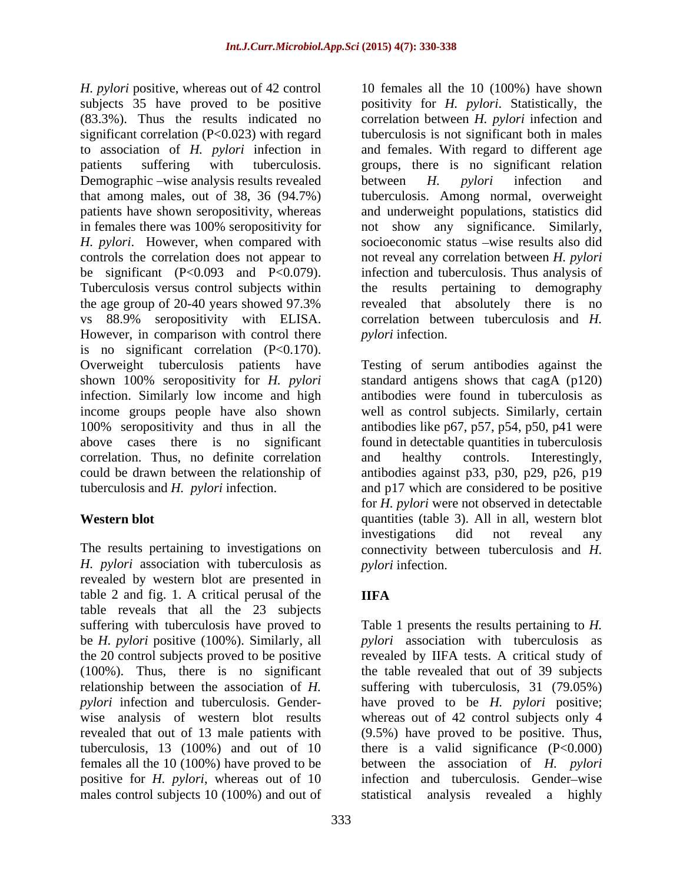Demographic –wise analysis results revealed between H. *pylori* infection and *H. pylori*. However, when compared with the age group of 20-40 years showed 97.3% However, in comparison with control there is no significant correlation (P<0.170). infection. Similarly low income and high correlation. Thus, no definite correlation and healthy controls. Interestingly,

*H. pylori* association with tuberculosis as revealed by western blot are presented in table 2 and fig. 1. A critical perusal of the **IIFA** table reveals that all the 23 subjects suffering with tuberculosis have proved to Table 1 presents the results pertaining to *H.*  be *H. pylori* positive (100%). Similarly, all *pylori* association with tuberculosis as the 20 control subjects proved to be positive revealed by IIFA tests. A critical study of (100%). Thus, there is no significant the table revealed that out of 39 subjects relationship between the association of *H.*  suffering with tuberculosis, 31 (79.05%) *pylori* infection and tuberculosis. Gender- have proved to be *H. pylori* positive; wise analysis of western blot results whereas out of 42 control subjects only 4 revealed that out of 13 male patients with tuberculosis, 13 (100%) and out of 10 there is a valid significance (P<0.000) females all the 10 (100%) have proved to be positive for *H. pylori*, whereas out of 10 infection and tuberculosis. Gender–wise males control subjects 10 (100%) and out of statistical analysis revealed a highly

*H. pylori* positive, whereas out of 42 control 10 females all the 10 (100%) have shown subjects 35 have proved to be positive positivity for *H. pylori*. Statistically, the (83.3%). Thus the results indicated no correlation between *H. pylori* infection and significant correlation (P<0.023) with regard tuberculosis is not significant both in males to association of *H. pylori* infection in and females. With regard to different age patients suffering with tuberculosis. groups, there is no significant relation that among males, out of 38, 36 (94.7%) tuberculosis. Among normal, overweight patients have shown seropositivity, whereas and underweight populations, statistics did in females there was 100% seropositivity for not show any significance. Similarly, controls the correlation does not appear to not reveal any correlation between *H. pylori* be significant (P<0.093 and P<0.079). infection and tuberculosis. Thus analysis of Tuberculosis versus control subjects within the results pertaining to demography vs 88.9% seropositivity with ELISA. correlation between tuberculosis and *H.*  between *H. pylori* infection and socioeconomic status -wise results also did revealed that absolutely there is no *pylori* infection.

Overweight tuberculosis patients have Testing of serum antibodies against the shown 100% seropositivity for *H. pylori* standard antigens shows that cagA (p120) income groups people have also shown well as control subjects. Similarly, certain 100% seropositivity and thus in all the antibodies like p67, p57, p54, p50, p41 were above cases there is no significant found in detectable quantities in tuberculosis could be drawn between the relationship of antibodies against p33, p30, p29, p26, p19 tuberculosis and *H. pylori* infection. and p17 which are considered to be positive Western blot **Western blot quantities** (table 3). All in all, western blot The results pertaining to investigations on connectivity between tuberculosis and *H.*  antibodies were found in tuberculosis as and healthy controls. Interestingly, for *H. pylori* were not observed in detectable investigations did not reveal any *pylori* infection.

# **IIFA**

(9.5%) have proved to be positive. Thus, between the association of *H. pylori*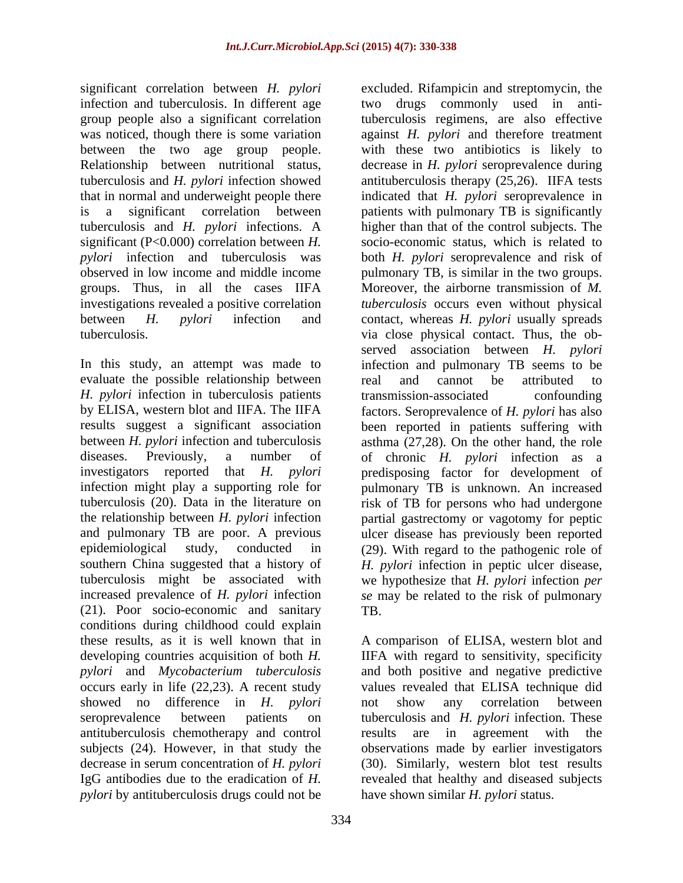significant correlation between *H. pylori* excluded. Rifampicin and streptomycin, the group people also a significant correlation tuberculosis and *H. pylori* infections. A significant (P<0.000) correlation between *H.*  groups. Thus, in all the cases IIFA investigations revealed a positive correlation

evaluate the possible relationship between a real and cannot be attributed to *H. pylori* infection in tuberculosis patients (21). Poor socio-economic and sanitary conditions during childhood could explain these results, as it is well known that in A comparison of ELISA, western blot and developing countries acquisition of both *H.*  IIFA with regard to sensitivity, specificity *pylori* and *Mycobacterium tuberculosis* and both positive and negative predictive occurs early in life (22,23). A recent study values revealed that ELISA technique did showed no difference in *H. pylori* seroprevalence between patients on tuberculosis and *H. pylori* infection. These antituberculosis chemotherapy and control subjects (24). However, in that study the observations made by earlier investigators decrease in serum concentration of *H. pylori* (30). Similarly, western blot test results IgG antibodies due to the eradication of *H.*  revealed that healthy and diseased subjects *pylori* by antituberculosis drugs could not be

infection and tuberculosis. In different age two drugs commonly used in antiwas noticed, though there is some variation against *H. pylori* and therefore treatment between the two age group people. with these two antibiotics is likely to Relationship between nutritional status, decrease in *H. pylori* seroprevalence during tuberculosis and *H. pylori* infection showed antituberculosis therapy (25,26). IIFA tests that in normal and underweight people there indicated that *H. pylori* seroprevalence in is a significant correlation between patients with pulmonary TB is significantly *pylori* infection and tuberculosis was both *H. pylori* seroprevalence and risk of observed in low income and middle income pulmonary TB, is similar in the two groups. between *H. pylori* infection and contact, whereas *H. pylori* usually spreads tuberculosis. via close physical contact. Thus, the ob- In this study, an attempt was made to infection and pulmonary TB seems to be by ELISA, western blot and IIFA. The IIFA factors. Seroprevalence of *H. pylori* has also results suggest a significant association been reported in patients suffering with between *H. pylori* infection and tuberculosis asthma (27,28). On the other hand, the role diseases. Previously, a number of of chronic *H. pylori*infection as a investigators reported that *H. pylori* predisposing factor for development of infection might play a supporting role for pulmonary TB is unknown. An increased tuberculosis (20). Data in the literature on risk of TB for persons who had undergone the relationship between *H. pylori* infection partial gastrectomy or vagotomy for peptic and pulmonary TB are poor. A previous ulcer disease has previously been reported epidemiological study, conducted in (29). With regard to the pathogenic role of southern China suggested that a history of *H. pylori* infection in peptic ulcer disease, tuberculosis might be associated with we hypothesize that *H. pylori* infection *per*  increased prevalence of *H. pylori* infection *se* may be related to the risk of pulmonary tuberculosis regimens, are also effective higher than that of the control subjects. The socio-economic status, which is related to Moreover, the airborne transmission of *M. tuberculosis* occurs even without physical served association between *H. pylori* real and cannot be attributed to transmission-associated confounding TB.

> not show any correlation between results are in agreement with the have shown similar *H. pylori* status.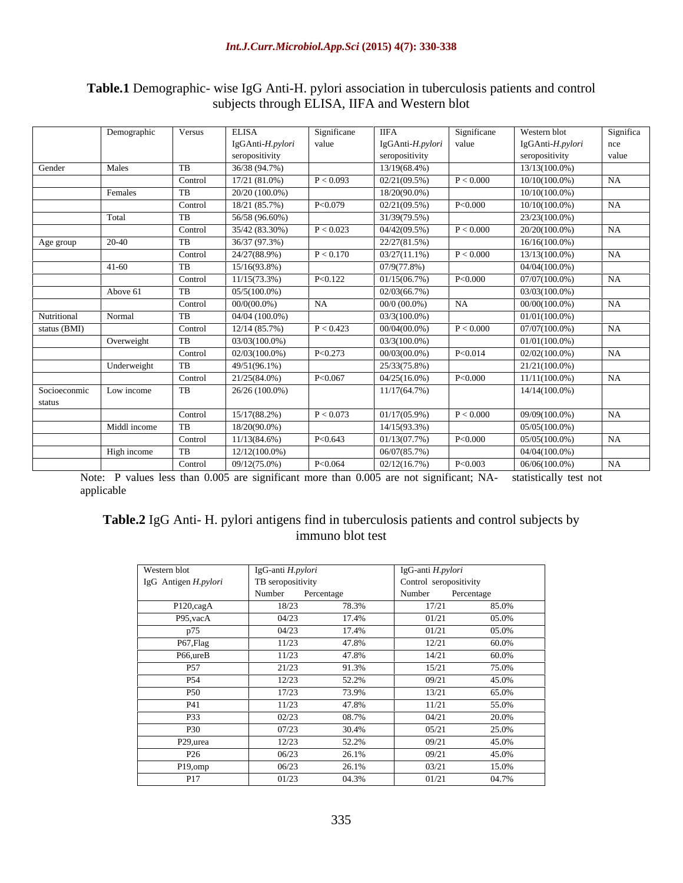|              | Demographic  | Versus  | ELISA            | Significane | - IIFA                   | Significane | Western blot     | Significa |
|--------------|--------------|---------|------------------|-------------|--------------------------|-------------|------------------|-----------|
|              |              |         | IgGAnti-H.pylori | value       | $IgGAnti-H.pylori$ value |             | IgGAnti-H.pylori | nce       |
|              |              |         | seropositivity   |             | seropositivity           |             | seropositivity   | value     |
| Gender       | Males        |         | 36/38 (94.7%)    |             | 13/19(68.4%)             |             | $13/13(100.0\%)$ |           |
|              |              | Control | 17/21 (81.0%)    | P < 0.093   | 02/21(09.5%)             | P < 0.000   | $10/10(100.0\%)$ | NA.       |
|              |              |         |                  |             |                          |             |                  |           |
|              | Females      |         | $20/20(100.0\%)$ |             | $18/20(90.0\%)$          |             | $10/10(100.0\%)$ |           |
|              |              | Control | 18/21 (85.7%)    | P < 0.079   | 02/21(09.5%)             | P<0.000     | $10/10(100.0\%)$ | NA .      |
|              | Total        |         | 56/58 (96.60%)   |             | 31/39(79.5%)             |             | 23/23(100.0%)    |           |
|              |              | Control | 35/42 (83.30%)   | P < 0.023   | 04/42(09.5%)             | P < 0.000   | $20/20(100.0\%)$ | NA        |
| Age group    | 20-40-       |         | 36/37 (97.3%)    |             | 22/27(81.5%)             |             | $16/16(100.0\%)$ |           |
|              |              | Control | 24/27(88.9%)     | P < 0.170   | 03/27(11.1%)             | P < 0.000   | 13/13(100.0%)    | NA.       |
|              | $41-60$      |         | 15/16(93.8%)     |             | 07/9(77.8%)              |             | $04/04(100.0\%)$ |           |
|              |              | Control | $11/15(73.3\%)$  | P<0.122     | 01/15(06.7%)             | P<0.000     | 07/07(100.0%)    | NA        |
|              | Above 61     |         | $05/5(100.0\%)$  |             | 02/03(66.7%)             |             | $03/03(100.0\%)$ |           |
|              |              | Control | $00/0(00.0\%)$   | <b>NA</b>   | $00/0$ (00.0%)           | NA          | $00/00(100.0\%)$ | NA        |
| Nutritional  | Normal       |         | $04/04(100.0\%)$ |             | $03/3(100.0\%)$          |             | $01/01(100.0\%)$ |           |
|              |              |         |                  |             |                          |             |                  |           |
| status (BMI) |              | Control | 12/14 (85.7%)    | P < 0.423   | $00/04(00.0\%)$          | P < 0.000   | )7/07(100.0%)    | NA        |
|              | Overweight   |         | 03/03(100.0%)    |             | $03/3(100.0\%)$          |             | $01/01(100.0\%)$ |           |
|              |              | Control | 02/03(100.0%)    | P∠O 273     | $00/03(00.0\%)$          | P < 0.014   | $02/02(100.0\%)$ | NA.       |
|              | Underweight  |         | $49/51(96.1\%)$  |             | 25/33(75.8%)             |             | 21/21(100.0%)    |           |
|              |              | Control | $21/25(84.0\%)$  | P < 0.067   | $04/25(16.0\%)$          | P<0.000     | $11/11(100.0\%)$ | NA.       |
| Socioeconmic | Low income   |         | 26/26 (100.0%)   |             | 11/17(64.7%)             |             | $14/14(100.0\%)$ |           |
| status       |              |         |                  |             |                          |             |                  |           |
|              |              | Control | 15/17(88.2%)     | P < 0.073   | $01/17(05.9\%)$          | P < 0.000   | 09/09(100.0%)    |           |
|              | Middl income |         | $18/20(90.0\%)$  |             | $14/15(93.3\%)$          |             | $05/05(100.0\%)$ |           |
|              |              | `ontrol | 11/13(84.6%)     | P< 0.643    | 01/13(07.7%)             | P<0.000     | $05/05(100.0\%)$ | NA –      |
|              | High income  |         | $12/12(100.0\%)$ |             | 06/07(85.7%)             |             | 04/04(100.0%)    |           |
|              |              |         |                  | P < 0.064   |                          | P < 0.003   | $06/06(100.0\%)$ | NA        |
|              |              | Control | $09/12(75.0\%)$  |             | 02/12(16.7%)             |             |                  |           |

#### **Table.1** Demographic- wise IgG Anti-H. pylori association in tuberculosis patients and control subjects through ELISA, IIFA and Western blot

Note: P values less than 0.005 are significant more than 0.005 are not significant; NA- statistically test not applicable applicable

# **Table.2** IgG Anti- H. pylori antigens find in tuberculosis patients and control subjects by immuno blot test

| Western blot         | IgG-anti H.pylori    |       | IgG-anti H.pylori      |            |
|----------------------|----------------------|-------|------------------------|------------|
| IgG Antigen H.pylori | TB seropositivity    |       | Control seropositivity |            |
|                      | Number<br>Percentage |       | Number                 | Percentage |
| P120,cagA            | 18/23                | 78.3% | 17/21                  | 85.0%      |
| P95, vacA            | 04/23                | 17.4% | 01/21                  | 05.0%      |
| p75                  | 04/23                | 17.4% | 01/21                  | 05.0%      |
| P67,Flag             | 11/23                | 47.8% | 12/21                  | 60.0%      |
| P66,ureB             | 11/23                | 47.8% | 14/21                  | 60.0%      |
| P57                  | 21/23                | 91.3% | 15/21                  | 75.0%      |
| P54                  | 12/23                | 52.2% | 09/21                  | 45.0%      |
| <b>P50</b>           | 17/23                | 73.9% | 13/21                  | 65.0%      |
| P41                  | 11/23                | 47.8% | 11/21                  | 55.0%      |
| P33                  | 02/23                | 08.7% | 04/21                  | 20.0%      |
| <b>P30</b>           | 07/23                | 30.4% | 05/21                  | 25.0%      |
| P29,urea             | 12/23                | 52.2% | 09/21                  | 45.0%      |
| P26                  | 06/23                | 26.1% | 09/21                  | 45.0%      |
| P19,omp              | 06/23                | 26.1% | 03/21                  | 15.0%      |
| P17                  | 01/23                | 04.3% | 01/21                  | 04.7%      |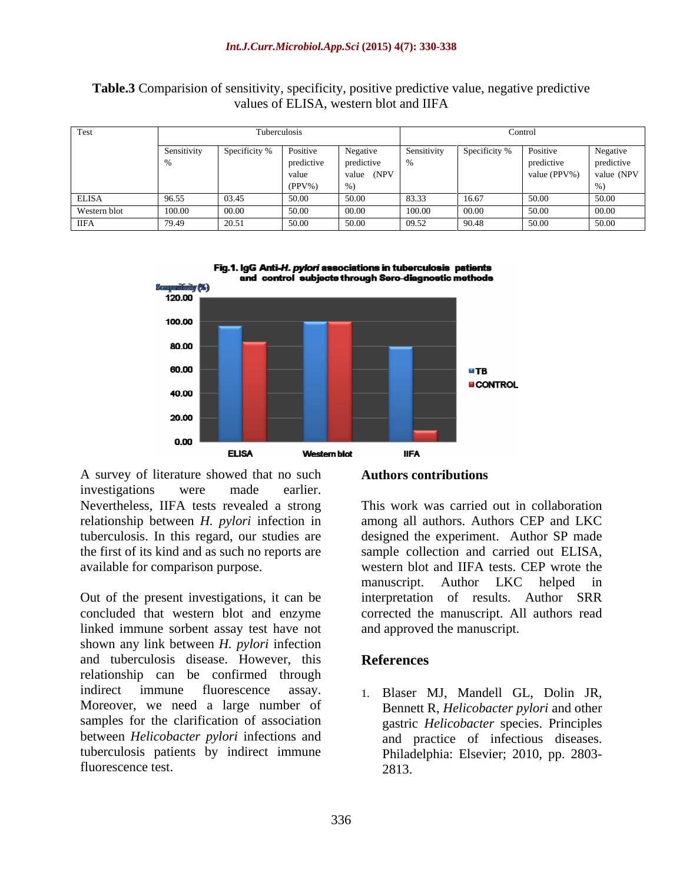|              |        |       | Tuberculosis             |            |             |         | Control                 |            |
|--------------|--------|-------|--------------------------|------------|-------------|---------|-------------------------|------------|
|              |        |       | Specificity %   Positive | Negative   | Sensitivity |         | Specificity % Positive  | Negative   |
|              |        |       | predictive               | predictive |             |         | predictive              | predictive |
|              |        |       | value                    | value (NPV |             |         | value (PPV%) value (NPV |            |
|              |        |       | $(PPV\%)$                | $\%$ )     |             |         |                         |            |
| <b>ELISA</b> | 96.55  |       | 50.00                    |            | 83.33       | 16.67   |                         | l 50.00    |
| Western blot | 100.00 |       | 50.00                    |            | L 100.00    | - 00 00 | ווונור ו                | (00.00)    |
| IIFA         | 79.49  | 20.51 | 50.00                    | 50.00      | 09.52       | 190.48  | 150.00                  | 50.00      |

#### **Table.3** Comparision of sensitivity, specificity, positive predictive value, negative predictive values of ELISA, western blot and IIFA



Fig.1. IgG Anti-H. pylori associations in tuberculosis patients and control subjects through Sero-diagnostic methods

A survey of literature showed that no such investigations were made earlier.

Out of the present investigations, it can be concluded that western blot and enzyme corrected the manuscript. All authors read linked immune sorbent assay test have not shown any link between *H. pylori* infection and tuberculosis disease. However, this relationship can be confirmed through indirect immune fluorescence assay. 1. Blaser MJ, Mandell GL, Dolin JR, Moreover, we need a large number of samples for the clarification of association between *Helicobacter pylori* infections and tuberculosis patients by indirect immune

#### **Authors contributions**

Nevertheless, IIFA tests revealed a strong This work was carried out in collaboration relationship between *H. pylori* infection in among all authors. Authors CEP and LKC tuberculosis. In this regard, our studies are designed the experiment. Author SP made the first of its kind and as such no reports are sample collection and carried out ELISA, available for comparison purpose. western blot and IIFA tests. CEP wrote the manuscript. Author LKC helped in interpretation of results. Author SRR and approved the manuscript.

### **References**

fluorescence test. 2813. Bennett R, *Helicobacter pylori* and other gastric *Helicobacter* species. Principles and practice of infectious diseases. Philadelphia: Elsevier; 2010, pp. 2803- 2813.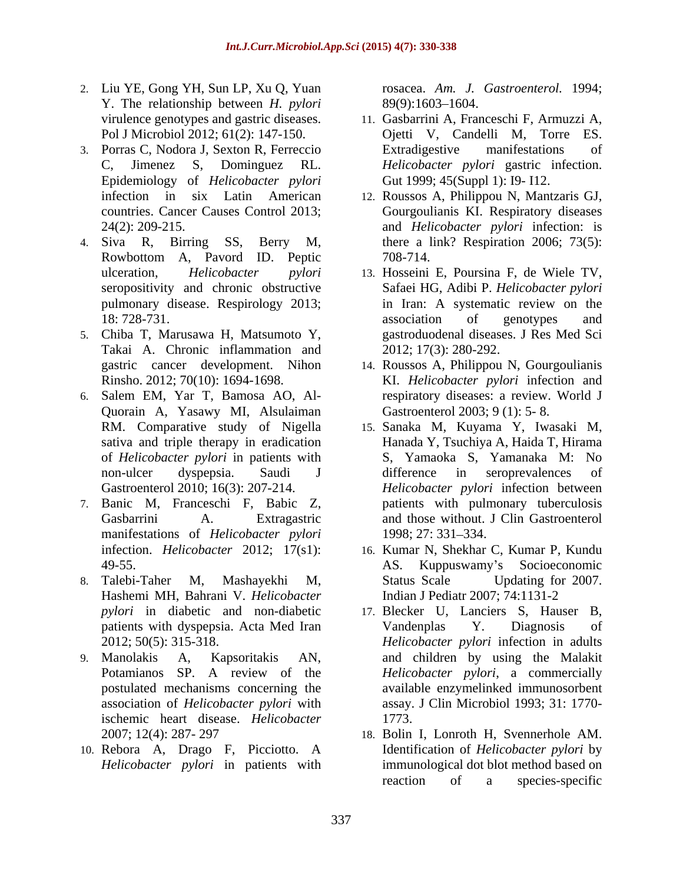- 2. Liu YE, Gong YH, Sun LP, Xu Q, Yuan Y. The relationship between *H. pylori*
- 3. Porras C, Nodora J, Sexton R, Ferreccio Epidemiology of *Helicobacter pylori*
- 4. Siva R, Birring SS, Berry M, there a link? Respiration 2006; 73(5): Rowbottom A, Pavord ID. Peptic pulmonary disease. Respirology 2013;
- 5. Chiba T, Marusawa H, Matsumoto Y, Takai A. Chronic inflammation and
- 6. Salem EM, Yar T, Bamosa AO, Al- Quorain A, Yasawy MI, Alsulaiman
- 7. Banic M, Franceschi F, Babic Z, manifestations of *Helicobacter pylori* 1998; 27: 331–334.
- 8. Talebi-Taher M, Mashayekhi M, Hashemi MH, Bahrani V. *Helicobacter*
- association of *Helicobacter pylori* with ischemic heart disease. *Helicobacter*
- 10. Rebora A, Drago F, Picciotto. A *Helicobacter pylori* in patients with

rosacea. *Am. J. Gastroenterol.* 1994; 89(9):1603–1604.

- virulence genotypes and gastric diseases. 11. Gasbarrini A, Franceschi F, Armuzzi A, Pol J Microbiol 2012; 61(2): 147-150. Ojetti V, Candelli M, Torre ES. C, Jimenez S, Dominguez RL. *Helicobacter pylori* gastric infection. Extradigestive manifestations of Gut 1999; 45(Suppl 1): I9- I12.
- infection in six Latin American 12. Roussos A, Philippou N, Mantzaris GJ, countries. Cancer Causes Control 2013; Gourgoulianis KI. Respiratory diseases 24(2): 209-215. and *Helicobacter pylori* infection: is 708-714.
- ulceration, *Helicobacter pylori* 13. Hosseini E, Poursina F, de Wiele TV, seropositivity and chronic obstructive Safaei HG, Adibi P. *Helicobacter pylori* 18: 728-731. **association** of genotypes and in Iran: A systematic review on the association of genotypes and gastroduodenal diseases. J Res Med Sci 2012; 17(3): 280-292.
- gastric cancer development. Nihon 14. Roussos A, Philippou N, Gourgoulianis Rinsho. 2012; 70(10): 1694-1698. KI. *Helicobacter pylori* infection and respiratory diseases: a review. World J Gastroenterol 2003; 9 (1): 5- 8.
- RM. Comparative study of Nigella 15. Sanaka M, Kuyama Y, Iwasaki M, sativa and triple therapy in eradication Hanada Y, Tsuchiya A, Haida T, Hirama of *Helicobacter pylori* in patients with non-ulcer dyspepsia. Saudi J Gastroenterol 2010; 16(3): 207-214. *Helicobacter pylori* infection between Gasbarrini A. Extragastric and those without. J Clin Gastroenterol S, Yamaoka S, Yamanaka M: difference in seroprevalences of patients with pulmonary tuberculosis 1998; 27: 331–334.
- infection. *Helicobacter* 2012; 17(s1): 16. Kumar N, Shekhar C, Kumar P, Kundu 49-55. AS. Kuppuswamy s Socioeconomic Status Scale Updating for 2007. Indian J Pediatr 2007; 74:1131-2
- *pylori* in diabetic and non-diabetic 17. Blecker U, Lanciers S, Hauser B, patients with dyspepsia. Acta Med Iran Vandenplas Y. Diagnosis of 2012; 50(5): 315-318. *Helicobacter pylori* infection in adults 9. Manolakis A, Kapsoritakis AN, and children by using the Malakit Potamianos SP. A review of the *Helicobacter pylori*, a commercially postulated mechanisms concerning the available enzymelinked immunosorbent Vandenplas Y. Diagnosis of assay. J Clin Microbiol 1993; 31: 1770- 1773.
	- 2007; 12(4): 287- 297 18. Bolin I, Lonroth H, Svennerhole AM. Identification of *Helicobacter pylori* by immunological dot blot method based on reaction of a species-specific